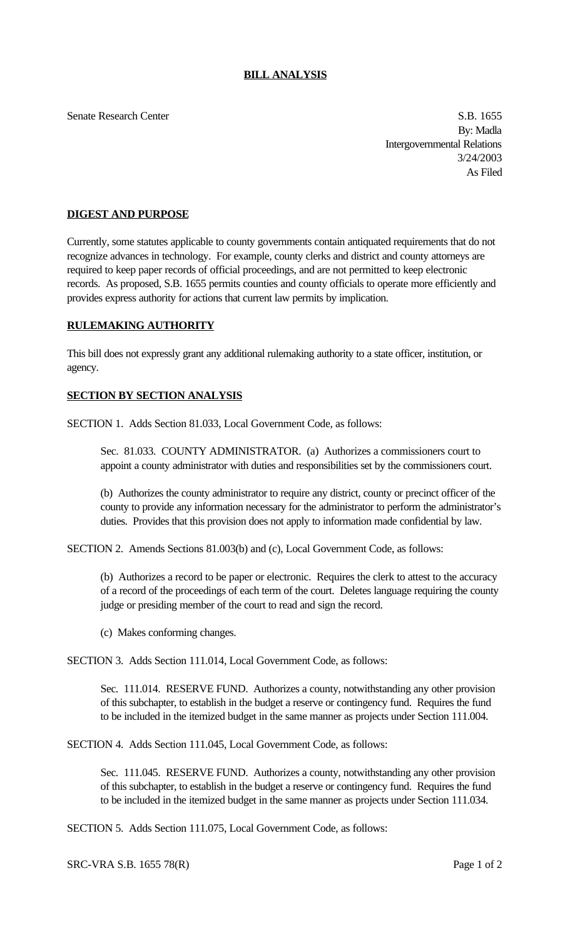## **BILL ANALYSIS**

Senate Research Center S.B. 1655

By: Madla Intergovernmental Relations 3/24/2003 As Filed

## **DIGEST AND PURPOSE**

Currently, some statutes applicable to county governments contain antiquated requirements that do not recognize advances in technology. For example, county clerks and district and county attorneys are required to keep paper records of official proceedings, and are not permitted to keep electronic records. As proposed, S.B. 1655 permits counties and county officials to operate more efficiently and provides express authority for actions that current law permits by implication.

## **RULEMAKING AUTHORITY**

This bill does not expressly grant any additional rulemaking authority to a state officer, institution, or agency.

## **SECTION BY SECTION ANALYSIS**

SECTION 1. Adds Section 81.033, Local Government Code, as follows:

Sec. 81.033. COUNTY ADMINISTRATOR. (a) Authorizes a commissioners court to appoint a county administrator with duties and responsibilities set by the commissioners court.

(b) Authorizes the county administrator to require any district, county or precinct officer of the county to provide any information necessary for the administrator to perform the administrator's duties. Provides that this provision does not apply to information made confidential by law.

SECTION 2. Amends Sections 81.003(b) and (c), Local Government Code, as follows:

(b) Authorizes a record to be paper or electronic. Requires the clerk to attest to the accuracy of a record of the proceedings of each term of the court. Deletes language requiring the county judge or presiding member of the court to read and sign the record.

(c) Makes conforming changes.

SECTION 3. Adds Section 111.014, Local Government Code, as follows:

Sec. 111.014. RESERVE FUND. Authorizes a county, notwithstanding any other provision of this subchapter, to establish in the budget a reserve or contingency fund. Requires the fund to be included in the itemized budget in the same manner as projects under Section 111.004.

SECTION 4. Adds Section 111.045, Local Government Code, as follows:

Sec. 111.045. RESERVE FUND. Authorizes a county, notwithstanding any other provision of this subchapter, to establish in the budget a reserve or contingency fund. Requires the fund to be included in the itemized budget in the same manner as projects under Section 111.034.

SECTION 5. Adds Section 111.075, Local Government Code, as follows:

SRC-VRA S.B. 1655 78(R) Page 1 of 2